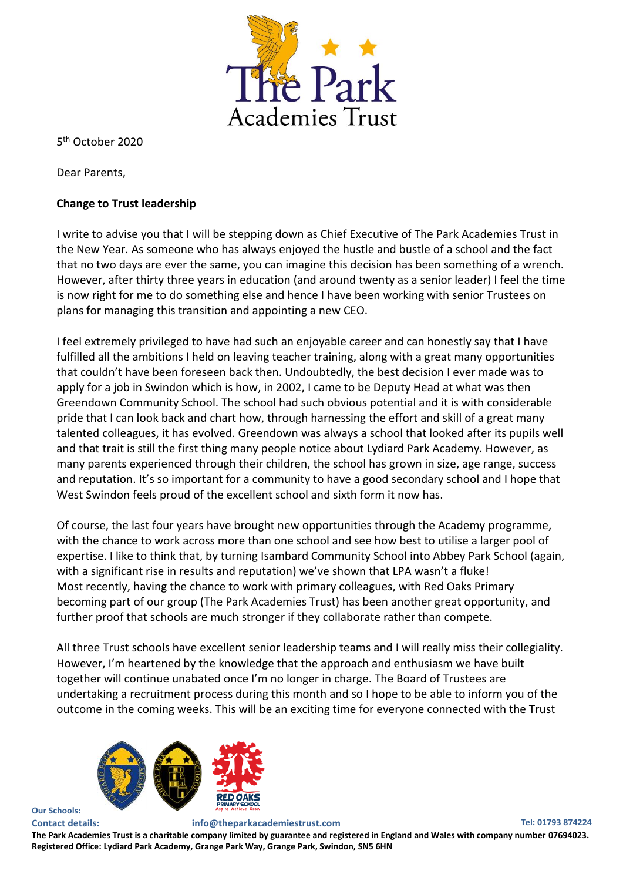

5 th October 2020

Dear Parents,

## **Change to Trust leadership**

I write to advise you that I will be stepping down as Chief Executive of The Park Academies Trust in the New Year. As someone who has always enjoyed the hustle and bustle of a school and the fact that no two days are ever the same, you can imagine this decision has been something of a wrench. However, after thirty three years in education (and around twenty as a senior leader) I feel the time is now right for me to do something else and hence I have been working with senior Trustees on plans for managing this transition and appointing a new CEO.

I feel extremely privileged to have had such an enjoyable career and can honestly say that I have fulfilled all the ambitions I held on leaving teacher training, along with a great many opportunities that couldn't have been foreseen back then. Undoubtedly, the best decision I ever made was to apply for a job in Swindon which is how, in 2002, I came to be Deputy Head at what was then Greendown Community School. The school had such obvious potential and it is with considerable pride that I can look back and chart how, through harnessing the effort and skill of a great many talented colleagues, it has evolved. Greendown was always a school that looked after its pupils well and that trait is still the first thing many people notice about Lydiard Park Academy. However, as many parents experienced through their children, the school has grown in size, age range, success and reputation. It's so important for a community to have a good secondary school and I hope that West Swindon feels proud of the excellent school and sixth form it now has.

Of course, the last four years have brought new opportunities through the Academy programme, with the chance to work across more than one school and see how best to utilise a larger pool of expertise. I like to think that, by turning Isambard Community School into Abbey Park School (again, with a significant rise in results and reputation) we've shown that LPA wasn't a fluke! Most recently, having the chance to work with primary colleagues, with Red Oaks Primary becoming part of our group (The Park Academies Trust) has been another great opportunity, and further proof that schools are much stronger if they collaborate rather than compete.

All three Trust schools have excellent senior leadership teams and I will really miss their collegiality. However, I'm heartened by the knowledge that the approach and enthusiasm we have built together will continue unabated once I'm no longer in charge. The Board of Trustees are undertaking a recruitment process during this month and so I hope to be able to inform you of the outcome in the coming weeks. This will be an exciting time for everyone connected with the Trust



**Our Schools:**

## **Contact details: info@theparkacademiestrust.com Tel: 01793 874224 The Park Academies Trust is a charitable company limited by guarantee and registered in England and Wales with company number 07694023. Registered Office: Lydiard Park Academy, Grange Park Way, Grange Park, Swindon, SN5 6HN**